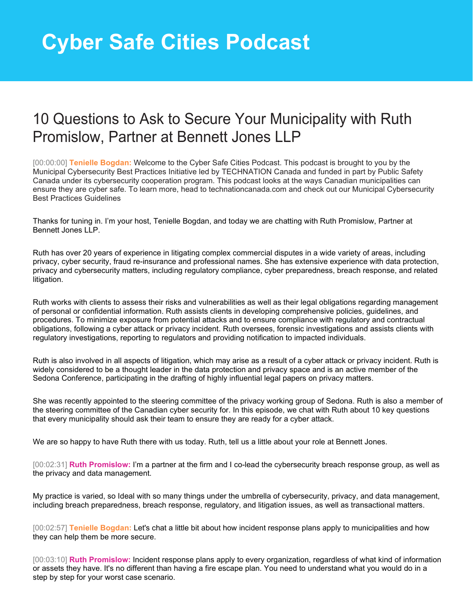## **Cyber Safe Cities Podcast**

## 10 Questions to Ask to Secure Your Municipality with Ruth Promislow, Partner at Bennett Jones LLP

[00:00:00] **Tenielle Bogdan:** Welcome to the Cyber Safe Cities Podcast. This podcast is brought to you by the Municipal Cybersecurity Best Practices Initiative led by TECHNATION Canada and funded in part by Public Safety Canada under its cybersecurity cooperation program. This podcast looks at the ways Canadian municipalities can ensure they are cyber safe. To learn more, head to technationcanada.com and check out our Municipal Cybersecurity Best Practices Guidelines

Thanks for tuning in. I'm your host, Tenielle Bogdan, and today we are chatting with Ruth Promislow, Partner at Bennett Jones LLP.

Ruth has over 20 years of experience in litigating complex commercial disputes in a wide variety of areas, including privacy, cyber security, fraud re-insurance and professional names. She has extensive experience with data protection, privacy and cybersecurity matters, including regulatory compliance, cyber preparedness, breach response, and related litigation.

Ruth works with clients to assess their risks and vulnerabilities as well as their legal obligations regarding management of personal or confidential information. Ruth assists clients in developing comprehensive policies, guidelines, and procedures. To minimize exposure from potential attacks and to ensure compliance with regulatory and contractual obligations, following a cyber attack or privacy incident. Ruth oversees, forensic investigations and assists clients with regulatory investigations, reporting to regulators and providing notification to impacted individuals.

Ruth is also involved in all aspects of litigation, which may arise as a result of a cyber attack or privacy incident. Ruth is widely considered to be a thought leader in the data protection and privacy space and is an active member of the Sedona Conference, participating in the drafting of highly influential legal papers on privacy matters.

She was recently appointed to the steering committee of the privacy working group of Sedona. Ruth is also a member of the steering committee of the Canadian cyber security for. In this episode, we chat with Ruth about 10 key questions that every municipality should ask their team to ensure they are ready for a cyber attack.

We are so happy to have Ruth there with us today. Ruth, tell us a little about your role at Bennett Jones.

[00:02:31] **Ruth Promislow:** I'm a partner at the firm and I co-lead the cybersecurity breach response group, as well as the privacy and data management.

My practice is varied, so Ideal with so many things under the umbrella of cybersecurity, privacy, and data management, including breach preparedness, breach response, regulatory, and litigation issues, as well as transactional matters.

[00:02:57] **Tenielle Bogdan:** Let's chat a little bit about how incident response plans apply to municipalities and how they can help them be more secure.

[00:03:10] **Ruth Promislow:** Incident response plans apply to every organization, regardless of what kind of information or assets they have. It's no different than having a fire escape plan. You need to understand what you would do in a step by step for your worst case scenario.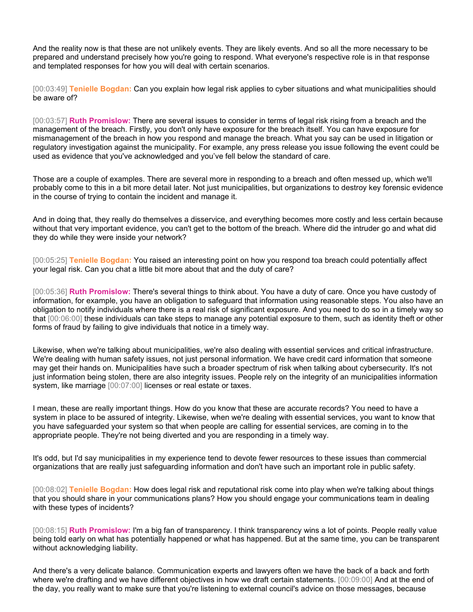And the reality now is that these are not unlikely events. They are likely events. And so all the more necessary to be prepared and understand precisely how you're going to respond. What everyone's respective role is in that response and templated responses for how you will deal with certain scenarios.

[00:03:49] **Tenielle Bogdan:** Can you explain how legal risk applies to cyber situations and what municipalities should be aware of?

[00:03:57] **Ruth Promislow:** There are several issues to consider in terms of legal risk rising from a breach and the management of the breach. Firstly, you don't only have exposure for the breach itself. You can have exposure for mismanagement of the breach in how you respond and manage the breach. What you say can be used in litigation or regulatory investigation against the municipality. For example, any press release you issue following the event could be used as evidence that you've acknowledged and you've fell below the standard of care.

Those are a couple of examples. There are several more in responding to a breach and often messed up, which we'll probably come to this in a bit more detail later. Not just municipalities, but organizations to destroy key forensic evidence in the course of trying to contain the incident and manage it.

And in doing that, they really do themselves a disservice, and everything becomes more costly and less certain because without that very important evidence, you can't get to the bottom of the breach. Where did the intruder go and what did they do while they were inside your network?

[00:05:25] **Tenielle Bogdan:** You raised an interesting point on how you respond toa breach could potentially affect your legal risk. Can you chat a little bit more about that and the duty of care?

[00:05:36] **Ruth Promislow:** There's several things to think about. You have a duty of care. Once you have custody of information, for example, you have an obligation to safeguard that information using reasonable steps. You also have an obligation to notify individuals where there is a real risk of significant exposure. And you need to do so in a timely way so that [00:06:00] these individuals can take steps to manage any potential exposure to them, such as identity theft or other forms of fraud by failing to give individuals that notice in a timely way.

Likewise, when we're talking about municipalities, we're also dealing with essential services and critical infrastructure. We're dealing with human safety issues, not just personal information. We have credit card information that someone may get their hands on. Municipalities have such a broader spectrum of risk when talking about cybersecurity. It's not just information being stolen, there are also integrity issues. People rely on the integrity of an municipalities information system, like marriage [00:07:00] licenses or real estate or taxes.

I mean, these are really important things. How do you know that these are accurate records? You need to have a system in place to be assured of integrity. Likewise, when we're dealing with essential services, you want to know that you have safeguarded your system so that when people are calling for essential services, are coming in to the appropriate people. They're not being diverted and you are responding in a timely way.

It's odd, but I'd say municipalities in my experience tend to devote fewer resources to these issues than commercial organizations that are really just safeguarding information and don't have such an important role in public safety.

[00:08:02] **Tenielle Bogdan:** How does legal risk and reputational risk come into play when we're talking about things that you should share in your communications plans? How you should engage your communications team in dealing with these types of incidents?

[00:08:15] **Ruth Promislow:** I'm a big fan of transparency. I think transparency wins a lot of points. People really value being told early on what has potentially happened or what has happened. But at the same time, you can be transparent without acknowledging liability.

And there's a very delicate balance. Communication experts and lawyers often we have the back of a back and forth where we're drafting and we have different objectives in how we draft certain statements. [00:09:00] And at the end of the day, you really want to make sure that you're listening to external council's advice on those messages, because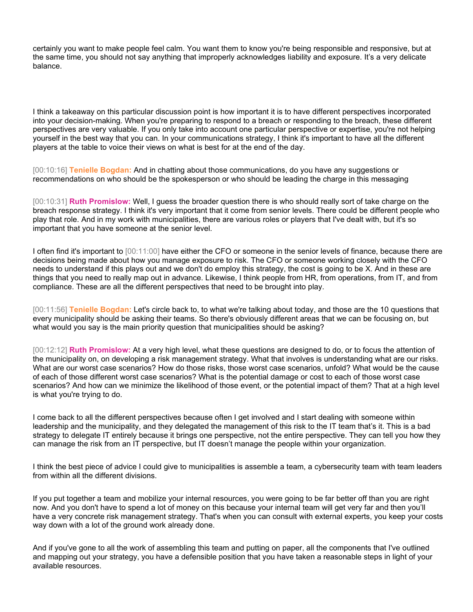certainly you want to make people feel calm. You want them to know you're being responsible and responsive, but at the same time, you should not say anything that improperly acknowledges liability and exposure. It's a very delicate balance.

I think a takeaway on this particular discussion point is how important it is to have different perspectives incorporated into your decision-making. When you're preparing to respond to a breach or responding to the breach, these different perspectives are very valuable. If you only take into account one particular perspective or expertise, you're not helping yourself in the best way that you can. In your communications strategy, I think it's important to have all the different players at the table to voice their views on what is best for at the end of the day.

[00:10:16] **Tenielle Bogdan:** And in chatting about those communications, do you have any suggestions or recommendations on who should be the spokesperson or who should be leading the charge in this messaging

[00:10:31] **Ruth Promislow:** Well, I guess the broader question there is who should really sort of take charge on the breach response strategy. I think it's very important that it come from senior levels. There could be different people who play that role. And in my work with municipalities, there are various roles or players that I've dealt with, but it's so important that you have someone at the senior level.

I often find it's important to [00:11:00] have either the CFO or someone in the senior levels of finance, because there are decisions being made about how you manage exposure to risk. The CFO or someone working closely with the CFO needs to understand if this plays out and we don't do employ this strategy, the cost is going to be X. And in these are things that you need to really map out in advance. Likewise, I think people from HR, from operations, from IT, and from compliance. These are all the different perspectives that need to be brought into play.

[00:11:56] **Tenielle Bogdan:** Let's circle back to, to what we're talking about today, and those are the 10 questions that every municipality should be asking their teams. So there's obviously different areas that we can be focusing on, but what would you say is the main priority question that municipalities should be asking?

[00:12:12] **Ruth Promislow:** At a very high level, what these questions are designed to do, or to focus the attention of the municipality on, on developing a risk management strategy. What that involves is understanding what are our risks. What are our worst case scenarios? How do those risks, those worst case scenarios, unfold? What would be the cause of each of those different worst case scenarios? What is the potential damage or cost to each of those worst case scenarios? And how can we minimize the likelihood of those event, or the potential impact of them? That at a high level is what you're trying to do.

I come back to all the different perspectives because often I get involved and I start dealing with someone within leadership and the municipality, and they delegated the management of this risk to the IT team that's it. This is a bad strategy to delegate IT entirely because it brings one perspective, not the entire perspective. They can tell you how they can manage the risk from an IT perspective, but IT doesn't manage the people within your organization.

I think the best piece of advice I could give to municipalities is assemble a team, a cybersecurity team with team leaders from within all the different divisions.

If you put together a team and mobilize your internal resources, you were going to be far better off than you are right now. And you don't have to spend a lot of money on this because your internal team will get very far and then you'll have a very concrete risk management strategy. That's when you can consult with external experts, you keep your costs way down with a lot of the ground work already done.

And if you've gone to all the work of assembling this team and putting on paper, all the components that I've outlined and mapping out your strategy, you have a defensible position that you have taken a reasonable steps in light of your available resources.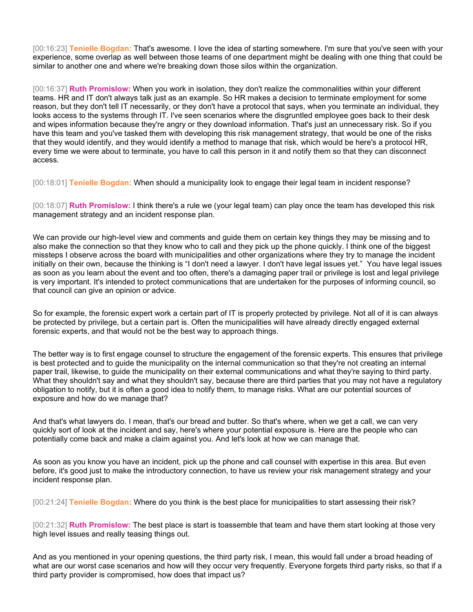[00:16:23] **Tenielle Bogdan:** That's awesome. I love the idea of starting somewhere. I'm sure that you've seen with your experience, some overlap as well between those teams of one department might be dealing with one thing that could be similar to another one and where we're breaking down those silos within the organization.

[00:16:37] **Ruth Promislow:** When you work in isolation, they don't realize the commonalities within your different teams. HR and IT don't always talk just as an example. So HR makes a decision to terminate employment for some reason, but they don't tell IT necessarily, or they don't have a protocol that says, when you terminate an individual, they looks access to the systems through IT. I've seen scenarios where the disgruntled employee goes back to their desk and wipes information because they're angry or they download information. That's just an unnecessary risk. So if you have this team and you've tasked them with developing this risk management strategy, that would be one of the risks that they would identify, and they would identify a method to manage that risk, which would be here's a protocol HR, every time we were about to terminate, you have to call this person in it and notify them so that they can disconnect access.

[00:18:01] **Tenielle Bogdan:** When should a municipality look to engage their legal team in incident response?

[00:18:07] **Ruth Promislow:** I think there's a rule we (your legal team) can play once the team has developed this risk management strategy and an incident response plan.

We can provide our high-level view and comments and guide them on certain key things they may be missing and to also make the connection so that they know who to call and they pick up the phone quickly. I think one of the biggest missteps I observe across the board with municipalities and other organizations where they try to manage the incident initially on their own, because the thinking is "I don't need a lawyer. I don't have legal issues yet." You have legal issues as soon as you learn about the event and too often, there's a damaging paper trail or privilege is lost and legal privilege is very important. It's intended to protect communications that are undertaken for the purposes of informing council, so that council can give an opinion or advice.

So for example, the forensic expert work a certain part of IT is properly protected by privilege. Not all of it is can always be protected by privilege, but a certain part is. Often the municipalities will have already directly engaged external forensic experts, and that would not be the best way to approach things.

The better way is to first engage counsel to structure the engagement of the forensic experts. This ensures that privilege is best protected and to guide the municipality on the internal communication so that they're not creating an internal paper trail, likewise, to guide the municipality on their external communications and what they're saying to third party. What they shouldn't say and what they shouldn't say, because there are third parties that you may not have a regulatory obligation to notify, but it is often a good idea to notify them, to manage risks. What are our potential sources of exposure and how do we manage that?

And that's what lawyers do. I mean, that's our bread and butter. So that's where, when we get a call, we can very quickly sort of look at the incident and say, here's where your potential exposure is. Here are the people who can potentially come back and make a claim against you. And let's look at how we can manage that.

As soon as you know you have an incident, pick up the phone and call counsel with expertise in this area. But even before, it's good just to make the introductory connection, to have us review your risk management strategy and your incident response plan.

[00:21:24] **Tenielle Bogdan:** Where do you think is the best place for municipalities to start assessing their risk?

[00:21:32] **Ruth Promislow:** The best place is start is toassemble that team and have them start looking at those very high level issues and really teasing things out.

And as you mentioned in your opening questions, the third party risk, I mean, this would fall under a broad heading of what are our worst case scenarios and how will they occur very frequently. Everyone forgets third party risks, so that if a third party provider is compromised, how does that impact us?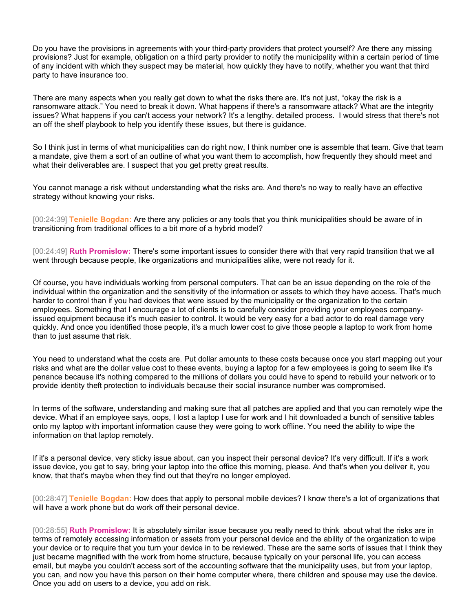Do you have the provisions in agreements with your third-party providers that protect yourself? Are there any missing provisions? Just for example, obligation on a third party provider to notify the municipality within a certain period of time of any incident with which they suspect may be material, how quickly they have to notify, whether you want that third party to have insurance too.

There are many aspects when you really get down to what the risks there are. It's not just, "okay the risk is a ransomware attack." You need to break it down. What happens if there's a ransomware attack? What are the integrity issues? What happens if you can't access your network? It's a lengthy. detailed process. I would stress that there's not an off the shelf playbook to help you identify these issues, but there is guidance.

So I think just in terms of what municipalities can do right now, I think number one is assemble that team. Give that team a mandate, give them a sort of an outline of what you want them to accomplish, how frequently they should meet and what their deliverables are. I suspect that you get pretty great results.

You cannot manage a risk without understanding what the risks are. And there's no way to really have an effective strategy without knowing your risks.

[00:24:39] **Tenielle Bogdan:** Are there any policies or any tools that you think municipalities should be aware of in transitioning from traditional offices to a bit more of a hybrid model?

[00:24:49] **Ruth Promislow:** There's some important issues to consider there with that very rapid transition that we all went through because people, like organizations and municipalities alike, were not ready for it.

Of course, you have individuals working from personal computers. That can be an issue depending on the role of the individual within the organization and the sensitivity of the information or assets to which they have access. That's much harder to control than if you had devices that were issued by the municipality or the organization to the certain employees. Something that I encourage a lot of clients is to carefully consider providing your employees companyissued equipment because it's much easier to control. It would be very easy for a bad actor to do real damage very quickly. And once you identified those people, it's a much lower cost to give those people a laptop to work from home than to just assume that risk.

You need to understand what the costs are. Put dollar amounts to these costs because once you start mapping out your risks and what are the dollar value cost to these events, buying a laptop for a few employees is going to seem like it's penance because it's nothing compared to the millions of dollars you could have to spend to rebuild your network or to provide identity theft protection to individuals because their social insurance number was compromised.

In terms of the software, understanding and making sure that all patches are applied and that you can remotely wipe the device. What if an employee says, oops, I lost a laptop I use for work and I hit downloaded a bunch of sensitive tables onto my laptop with important information cause they were going to work offline. You need the ability to wipe the information on that laptop remotely.

If it's a personal device, very sticky issue about, can you inspect their personal device? It's very difficult. If it's a work issue device, you get to say, bring your laptop into the office this morning, please. And that's when you deliver it, you know, that that's maybe when they find out that they're no longer employed.

[00:28:47] **Tenielle Bogdan:** How does that apply to personal mobile devices? I know there's a lot of organizations that will have a work phone but do work off their personal device.

[00:28:55] **Ruth Promislow:** It is absolutely similar issue because you really need to think about what the risks are in terms of remotely accessing information or assets from your personal device and the ability of the organization to wipe your device or to require that you turn your device in to be reviewed. These are the same sorts of issues that I think they just became magnified with the work from home structure, because typically on your personal life, you can access email, but maybe you couldn't access sort of the accounting software that the municipality uses, but from your laptop, you can, and now you have this person on their home computer where, there children and spouse may use the device. Once you add on users to a device, you add on risk.